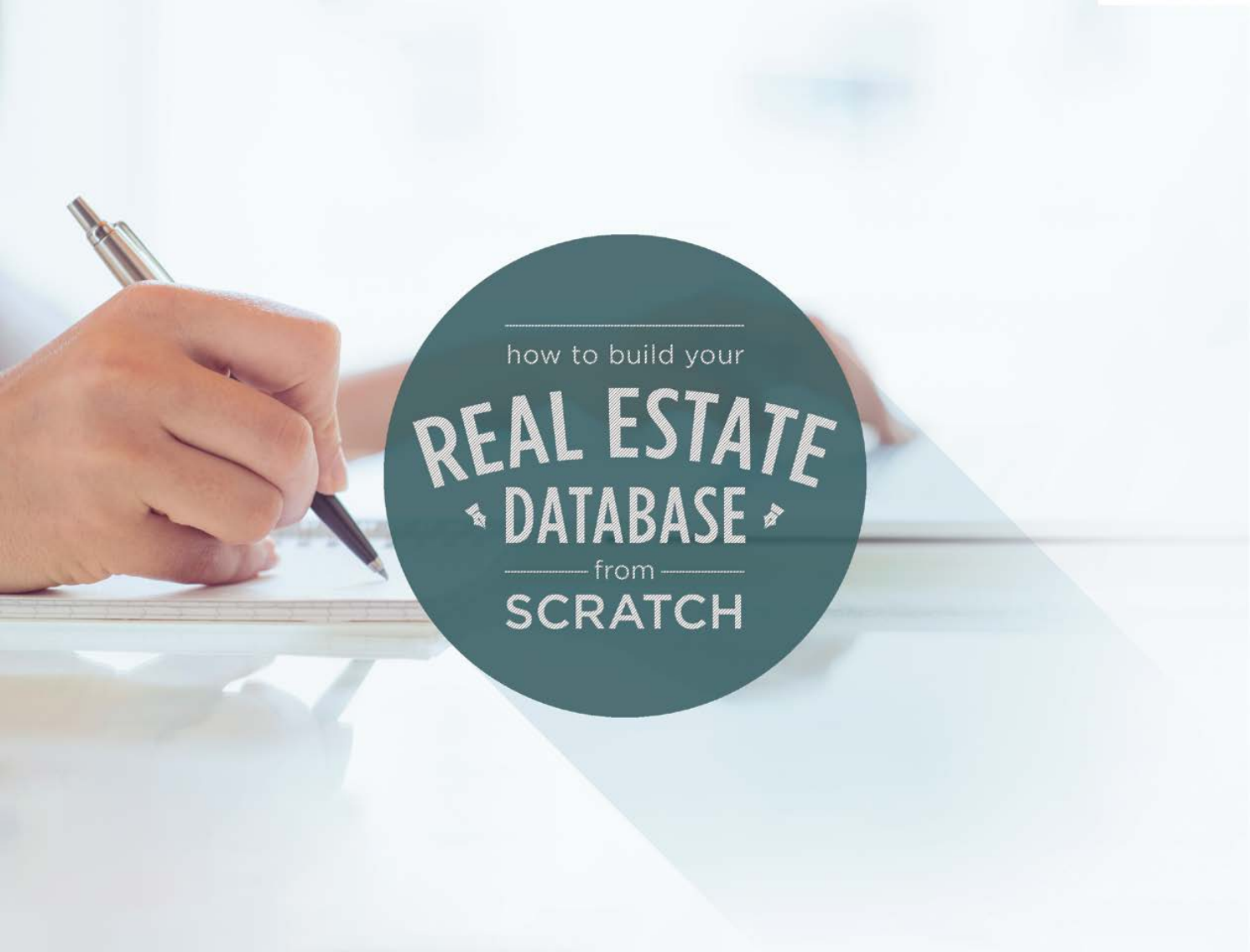# how to build your REAL ESTATE SCRATCH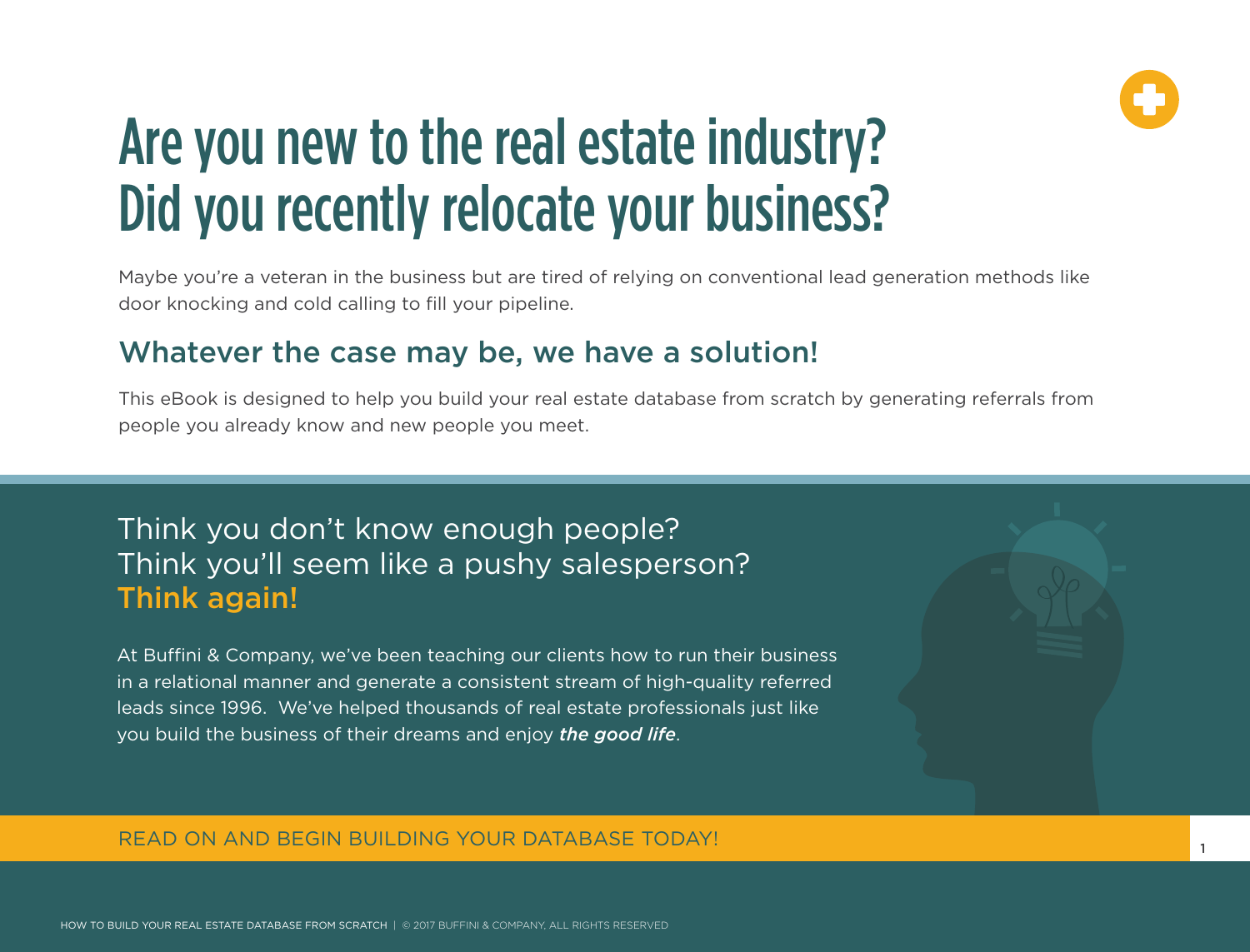

## Are you new to the real estate industry? Did you recently relocate your business?

Maybe you're a veteran in the business but are tired of relying on conventional lead generation methods like door knocking and cold calling to fill your pipeline.

### Whatever the case may be, we have a solution!

This eBook is designed to help you build your real estate database from scratch by generating referrals from people you already know and new people you meet.

## Think you don't know enough people? Think you'll seem like a pushy salesperson? Think again!

At Buffini & Company, we've been teaching our clients how to run their business in a relational manner and generate a consistent stream of high-quality referred leads since 1996. We've helped thousands of real estate professionals just like you build the business of their dreams and enjoy *the good life*.

### READ ON AND BEGIN BUILDING YOUR DATABASE TODAY!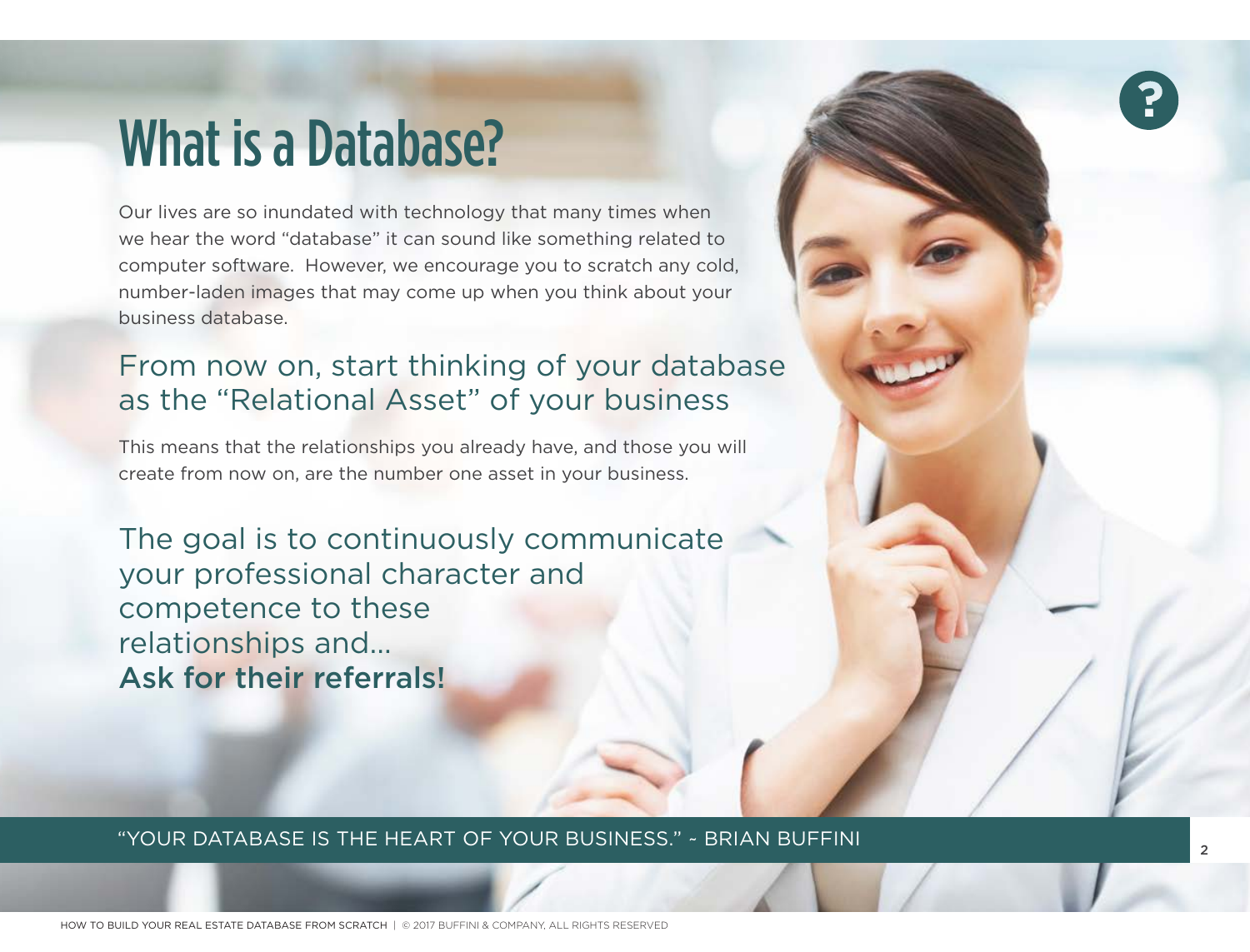## What is a Database?

Our lives are so inundated with technology that many times when we hear the word "database" it can sound like something related to computer software. However, we encourage you to scratch any cold, number-laden images that may come up when you think about your business database.

## From now on, start thinking of your database as the "Relational Asset" of your business

This means that the relationships you already have, and those you will create from now on, are the number one asset in your business.

The goal is to continuously communicate your professional character and competence to these relationships and... Ask for their referrals!

"YOUR DATABASE IS THE HEART OF YOUR BUSINESS." ~ BRIAN BUFFINI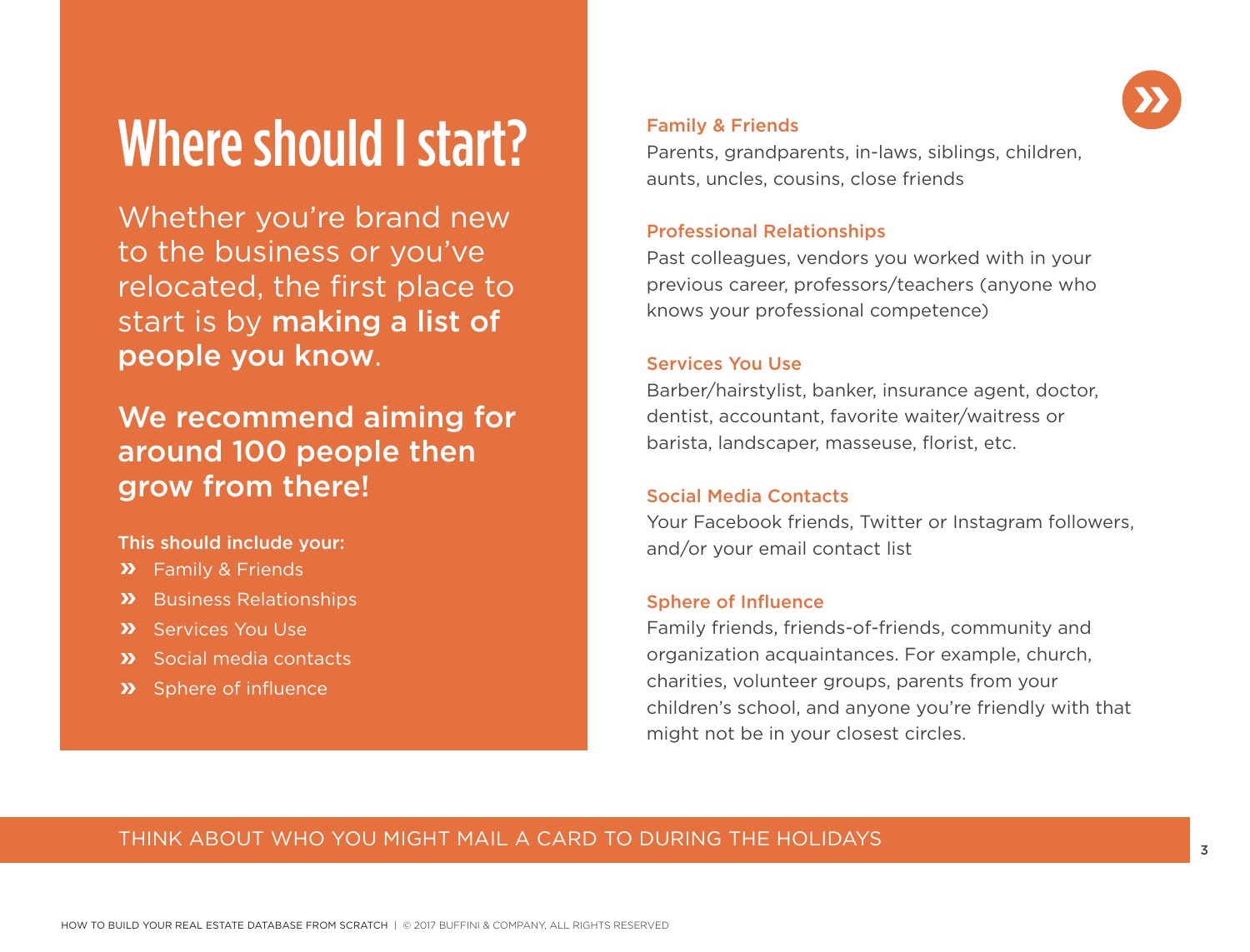## Where should I start?

Whether you're brand new to the business or you've relocated, the first place to start is by making a list of people you know.

## We recommend aiming for around 100 people then grow from there!

#### This should include your:

- **>>** Family & Friends
- **>>** Business Relationships
- **X** Services You Use
- **>>** Social media contacts
- **>>** Sphere of influence

#### Family & Friends

Parents, grandparents, in-laws, siblings, children, aunts, uncles, cousins, close friends

#### Professional Relationships

Past colleagues, vendors you worked with in your previous career, professors/teachers (anyone who knows your professional competence)

#### Services You Use

Barber/hairstylist, banker, insurance agent, doctor, dentist, accountant, favorite waiter/waitress or barista, landscaper, masseuse, florist, etc.

#### Social Media Contacts

Your Facebook friends, Twitter or Instagram followers, and/or your email contact list

#### Sphere of Influence

Family friends, friends-of-friends, community and organization acquaintances. For example, church, charities, volunteer groups, parents from your children's school, and anyone you're friendly with that might not be in your closest circles.

### THINK ABOUT WHO YOU MIGHT MAIL A CARD TO DURING THE HOLIDAYS

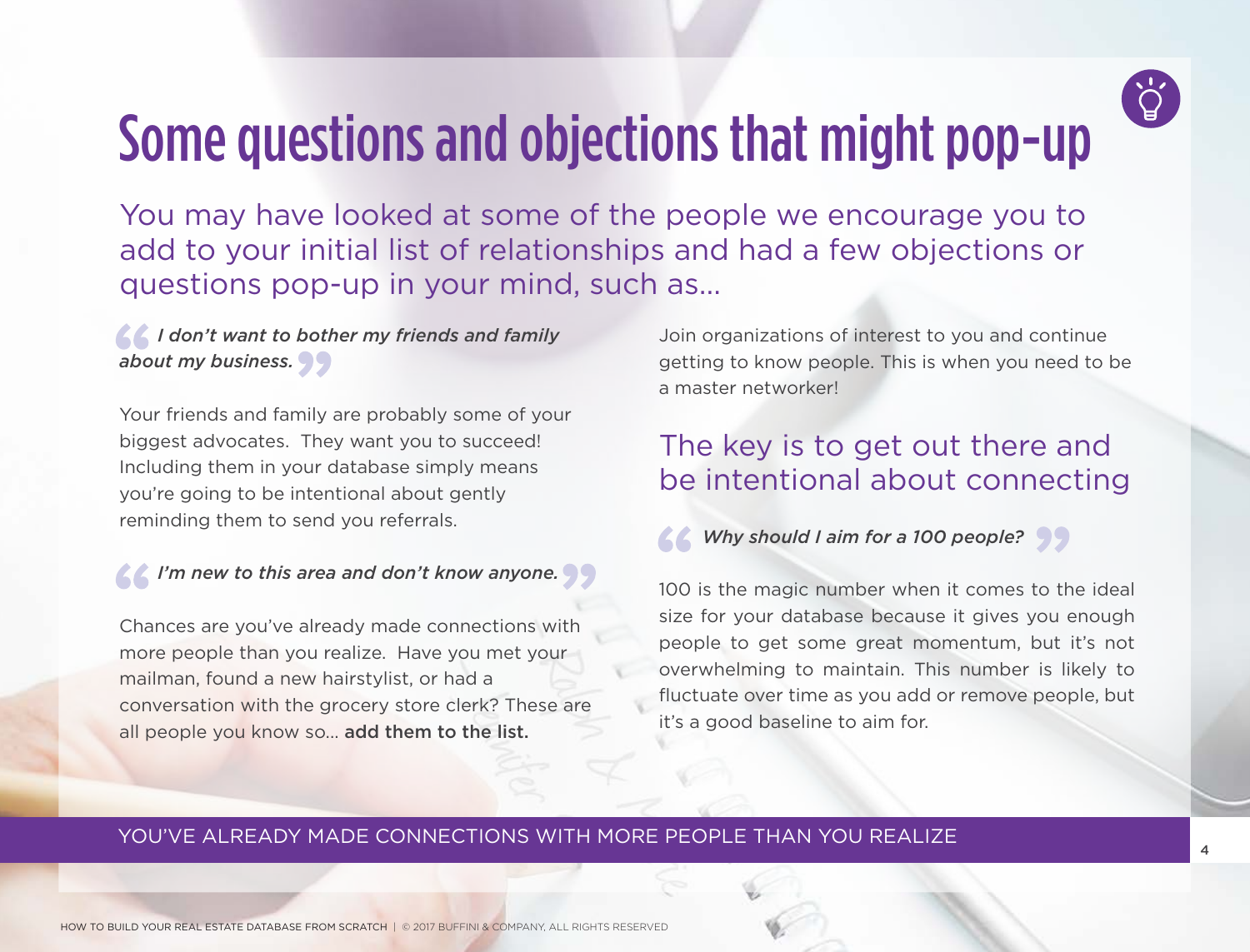

## Some questions and objections that might pop-up

You may have looked at some of the people we encourage you to add to your initial list of relationships and had a few objections or questions pop-up in your mind, such as...

 *I don't want to bother my friends and family about my business.*

Your friends and family are probably some of your biggest advocates. They want you to succeed! Including them in your database simply means you're going to be intentional about gently reminding them to send you referrals.

### *I'm new to this area and don't know anyone.*

Chances are you've already made connections with more people than you realize. Have you met your mailman, found a new hairstylist, or had a conversation with the grocery store clerk? These are all people you know so... add them to the list.

Join organizations of interest to you and continue getting to know people. This is when you need to be a master networker!

## The key is to get out there and be intentional about connecting

 *Why should I aim for a 100 people?*

100 is the magic number when it comes to the ideal size for your database because it gives you enough people to get some great momentum, but it's not overwhelming to maintain. This number is likely to fluctuate over time as you add or remove people, but it's a good baseline to aim for.

### YOU'VE ALREADY MADE CONNECTIONS WITH MORE PEOPLE THAN YOU REALIZE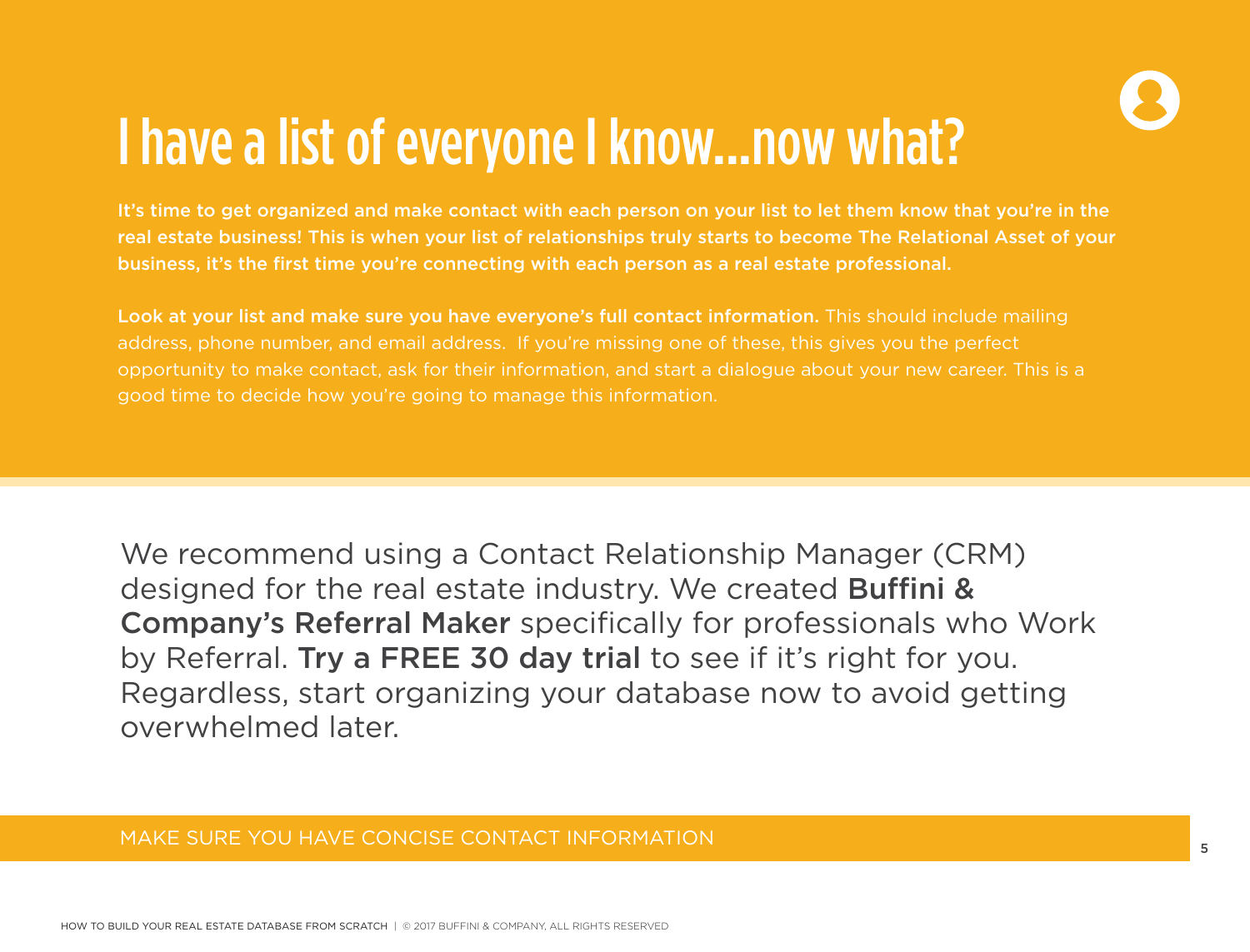

## I have a list of everyone I know...now what?

It's time to get organized and make contact with each person on your list to let them know that you're in the real estate business! This is when your list of relationships truly starts to become The Relational Asset of your business, it's the first time you're connecting with each person as a real estate professional.

Look at your list and make sure you have everyone's full contact information. This should include mailing address, phone number, and email address. If you're missing one of these, this gives you the perfect opportunity to make contact, ask for their information, and start a dialogue about your new career. This is a good time to decide how you're going to manage this information.

We recommend using a Contact Relationship Manager (CRM) designed for the real estate industry. We created Buffini & Company's Referral Maker specifically for professionals who Work by Referral. Try a FREE 30 day trial to see if it's right for you. Regardless, start organizing your database now to avoid getting overwhelmed later.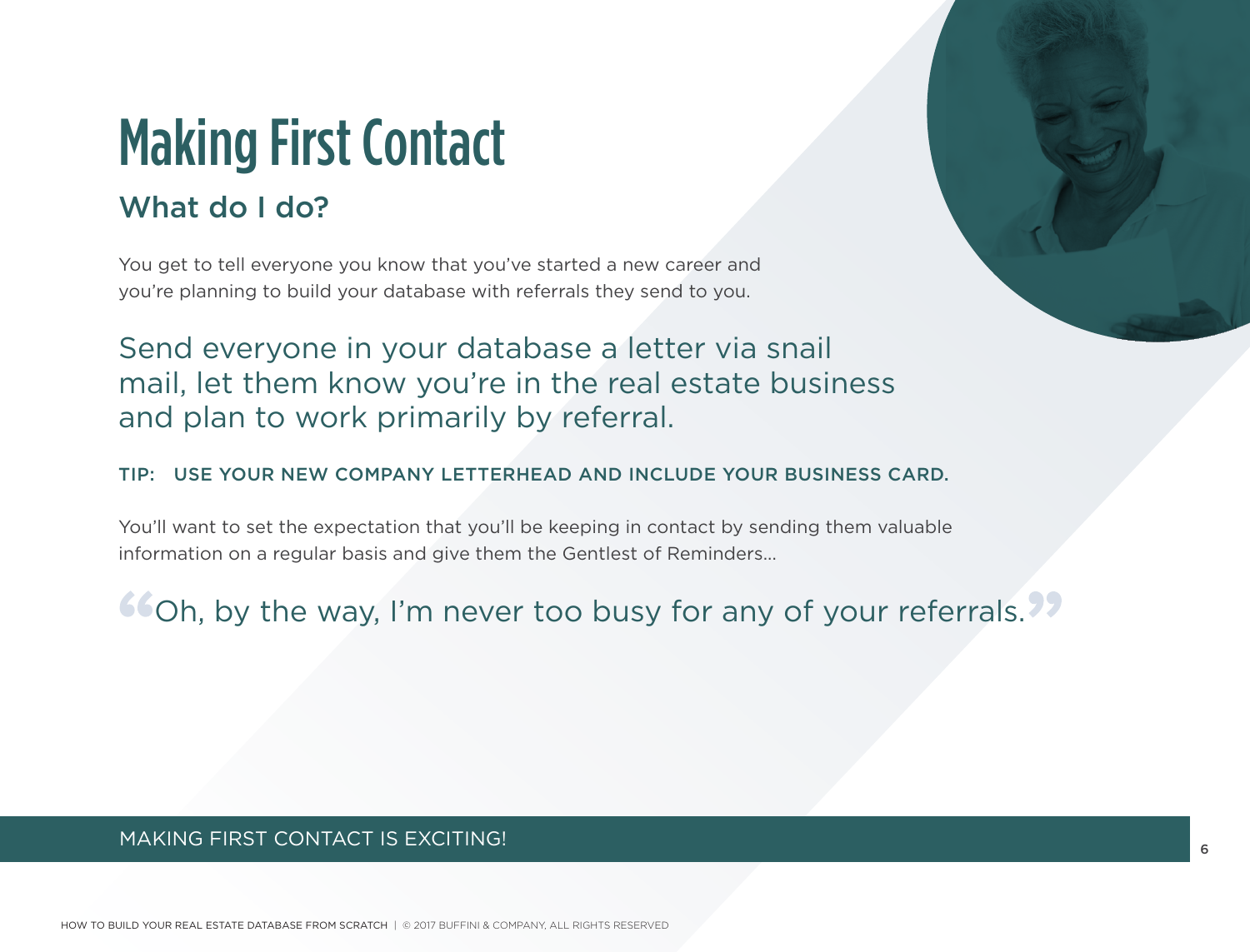## Making First Contact

## What do I do?

You get to tell everyone you know that you've started a new career and you're planning to build your database with referrals they send to you.

Send everyone in your database a letter via snail mail, let them know you're in the real estate business and plan to work primarily by referral.

#### TIP: USE YOUR NEW COMPANY LETTERHEAD AND INCLUDE YOUR BUSINESS CARD.

You'll want to set the expectation that you'll be keeping in contact by sending them valuable information on a regular basis and give them the Gentlest of Reminders...

**COh, by the way, I'm never too busy for any of your referrals.** 

### MAKING FIRST CONTACT IS EXCITING!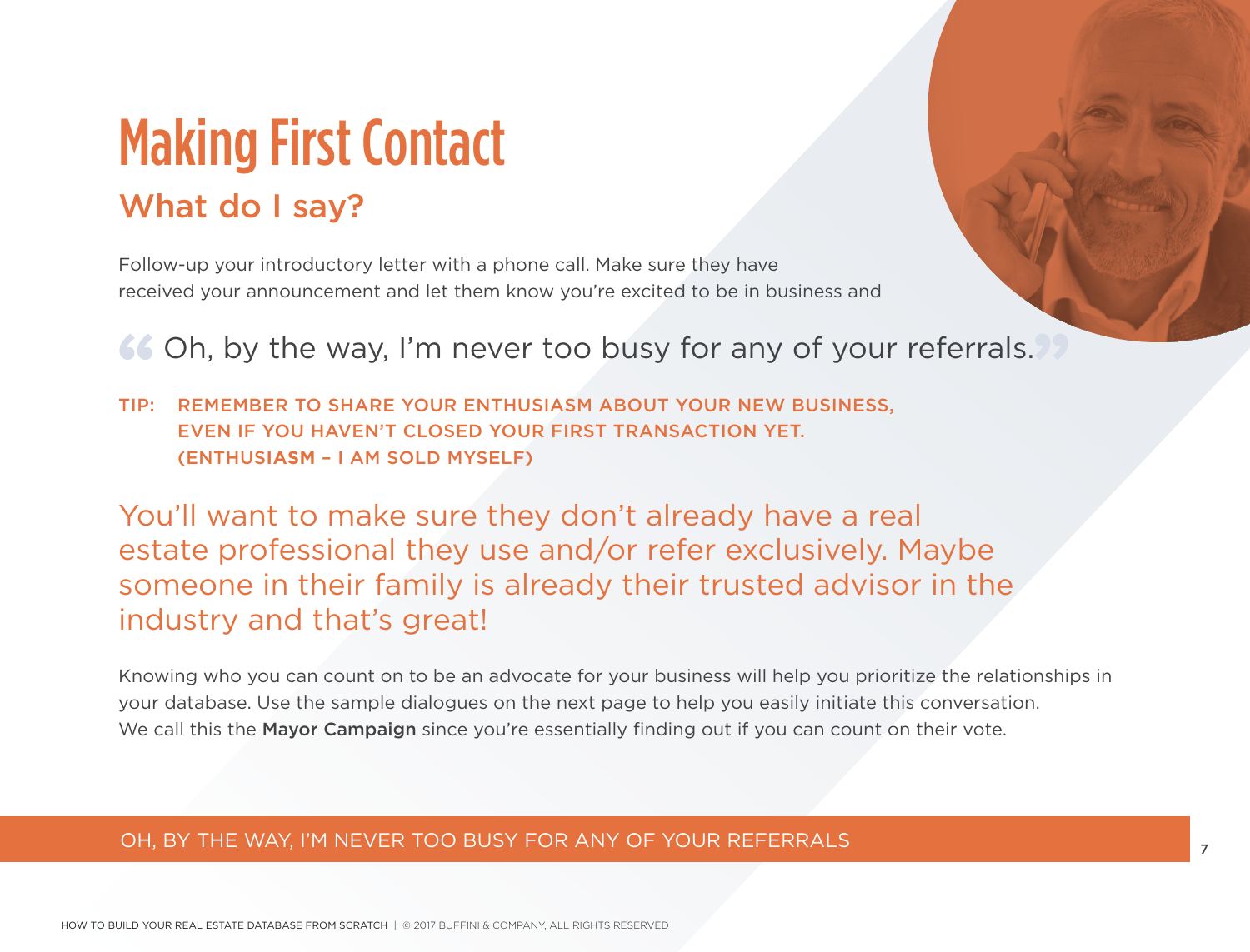## Making First Contact What do I say?

Follow-up your introductory letter with a phone call. Make sure they have received your announcement and let them know you're excited to be in business and

GG Oh, by the way, I'm never too busy for any of your referrals.

TIP: REMEMBER TO SHARE YOUR ENTHUSIASM ABOUT YOUR NEW BUSINESS, EVEN IF YOU HAVEN'T CLOSED YOUR FIRST TRANSACTION YET. (ENTHUS**IASM** – I AM SOLD MYSELF)

You'll want to make sure they don't already have a real estate professional they use and/or refer exclusively. Maybe someone in their family is already their trusted advisor in the industry and that's great!

Knowing who you can count on to be an advocate for your business will help you prioritize the relationships in your database. Use the sample dialogues on the next page to help you easily initiate this conversation. We call this the Mayor Campaign since you're essentially finding out if you can count on their vote.

### OH, BY THE WAY, I'M NEVER TOO BUSY FOR ANY OF YOUR REFERRALS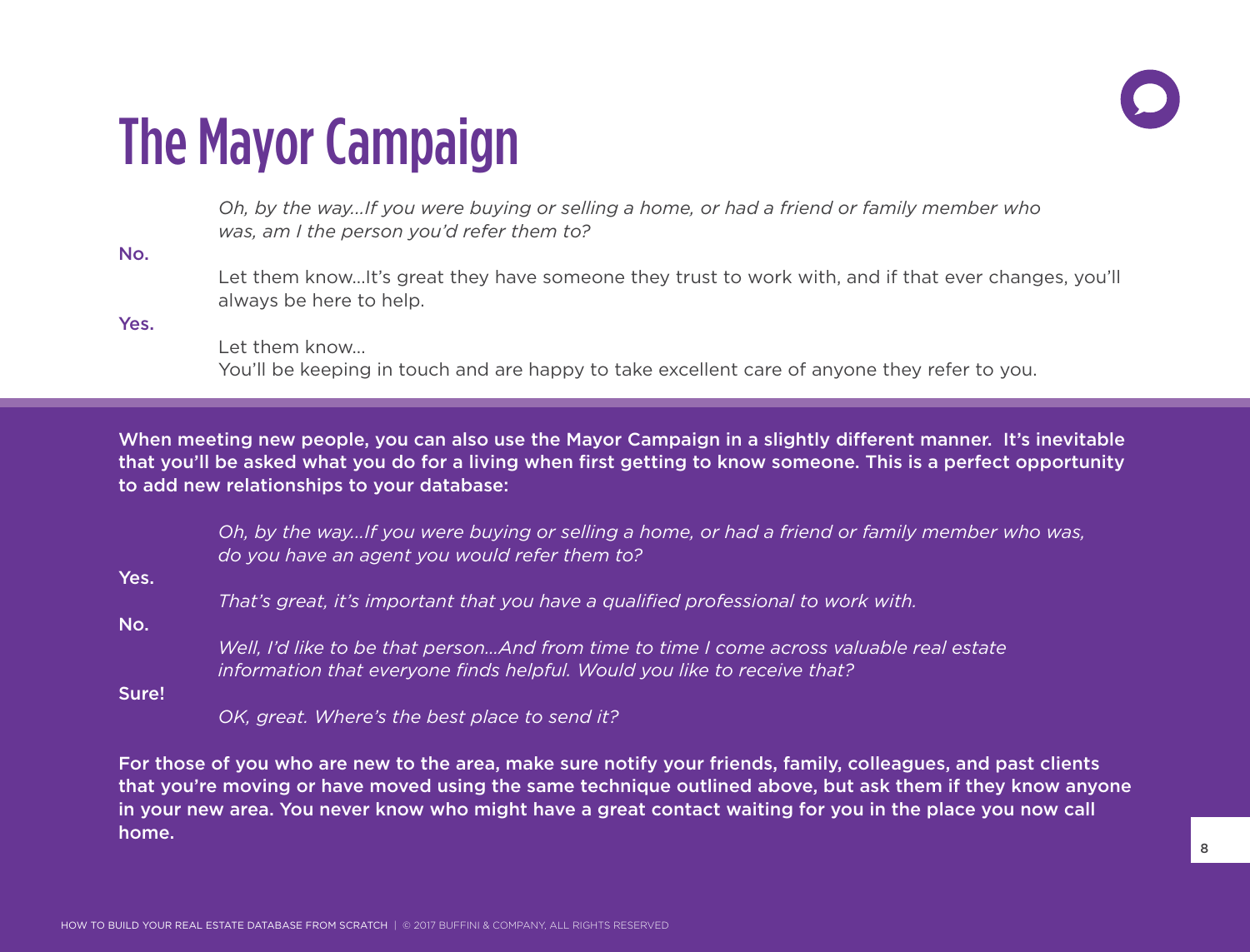

## The Mayor Campaign

*Oh, by the way...If you were buying or selling a home, or had a friend or family member who was, am I the person you'd refer them to?*

No.

Let them know...It's great they have someone they trust to work with, and if that ever changes, you'll always be here to help.

Yes.

Let them know... You'll be keeping in touch and are happy to take excellent care of anyone they refer to you.

When meeting new people, you can also use the Mayor Campaign in a slightly different manner. It's inevitable that you'll be asked what you do for a living when first getting to know someone. This is a perfect opportunity to add new relationships to your database:

*Oh, by the way...If you were buying or selling a home, or had a friend or family member who was, do you have an agent you would refer them to?*

Yes.

*That's great, it's important that you have a qualified professional to work with.*

No.

*Well, I'd like to be that person…And from time to time I come across valuable real estate information that everyone finds helpful. Would you like to receive that?*

Sure!

*OK, great. Where's the best place to send it?*

For those of you who are new to the area, make sure notify your friends, family, colleagues, and past clients that you're moving or have moved using the same technique outlined above, but ask them if they know anyone in your new area. You never know who might have a great contact waiting for you in the place you now call home.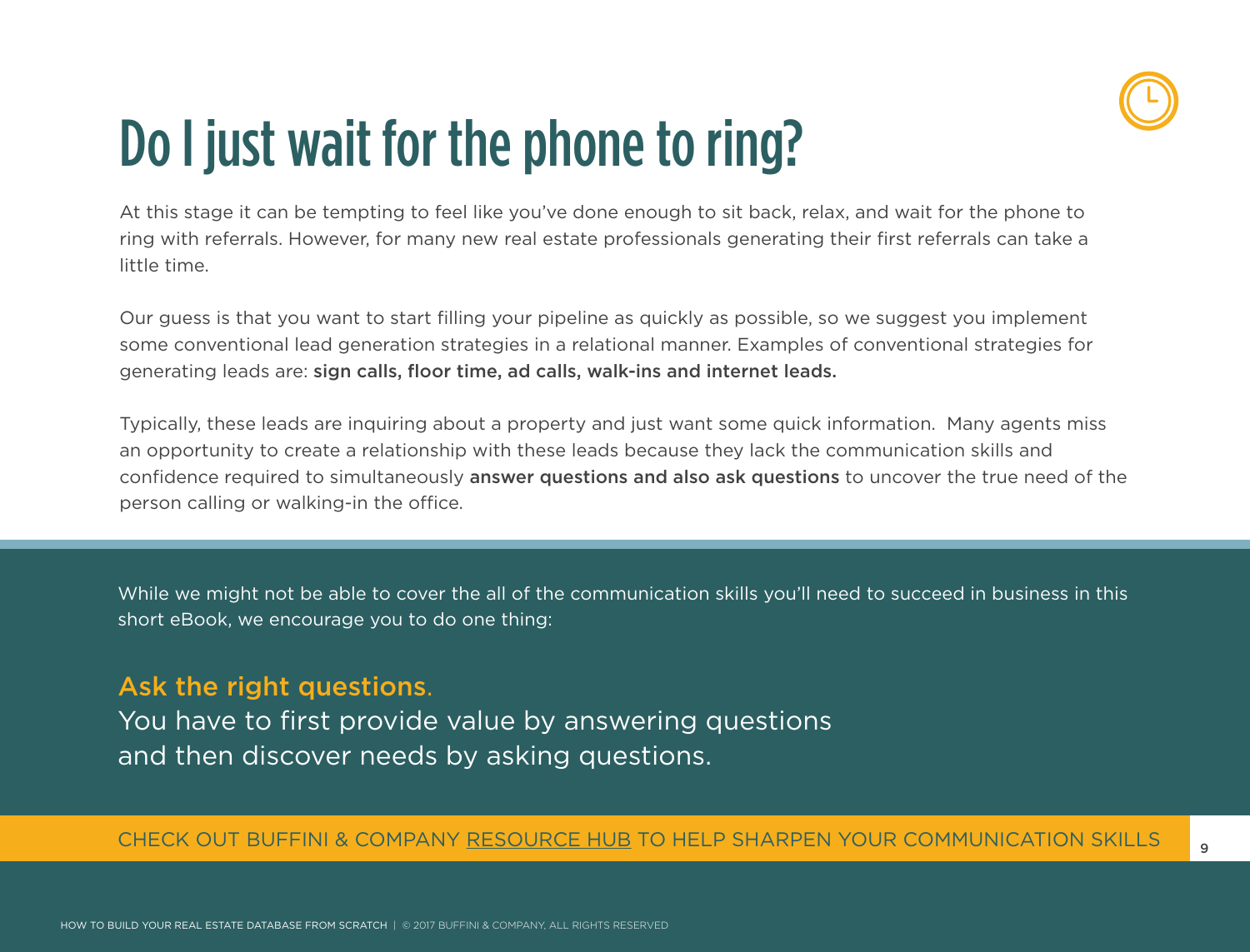

## Do I just wait for the phone to ring?

At this stage it can be tempting to feel like you've done enough to sit back, relax, and wait for the phone to ring with referrals. However, for many new real estate professionals generating their first referrals can take a little time.

Our guess is that you want to start filling your pipeline as quickly as possible, so we suggest you implement some conventional lead generation strategies in a relational manner. Examples of conventional strategies for generating leads are: sign calls, floor time, ad calls, walk-ins and internet leads.

Typically, these leads are inquiring about a property and just want some quick information. Many agents miss an opportunity to create a relationship with these leads because they lack the communication skills and confidence required to simultaneously answer questions and also ask questions to uncover the true need of the person calling or walking-in the office.

While we might not be able to cover the all of the communication skills you'll need to succeed in business in this short eBook, we encourage you to do one thing:

### Ask the right questions.

You have to first provide value by answering questions and then discover needs by asking questions.

### CHECK OUT BUFFINI & COMPANY RESOURCE HUB TO HELP SHARPEN YOUR COMMUNICATION SKILLS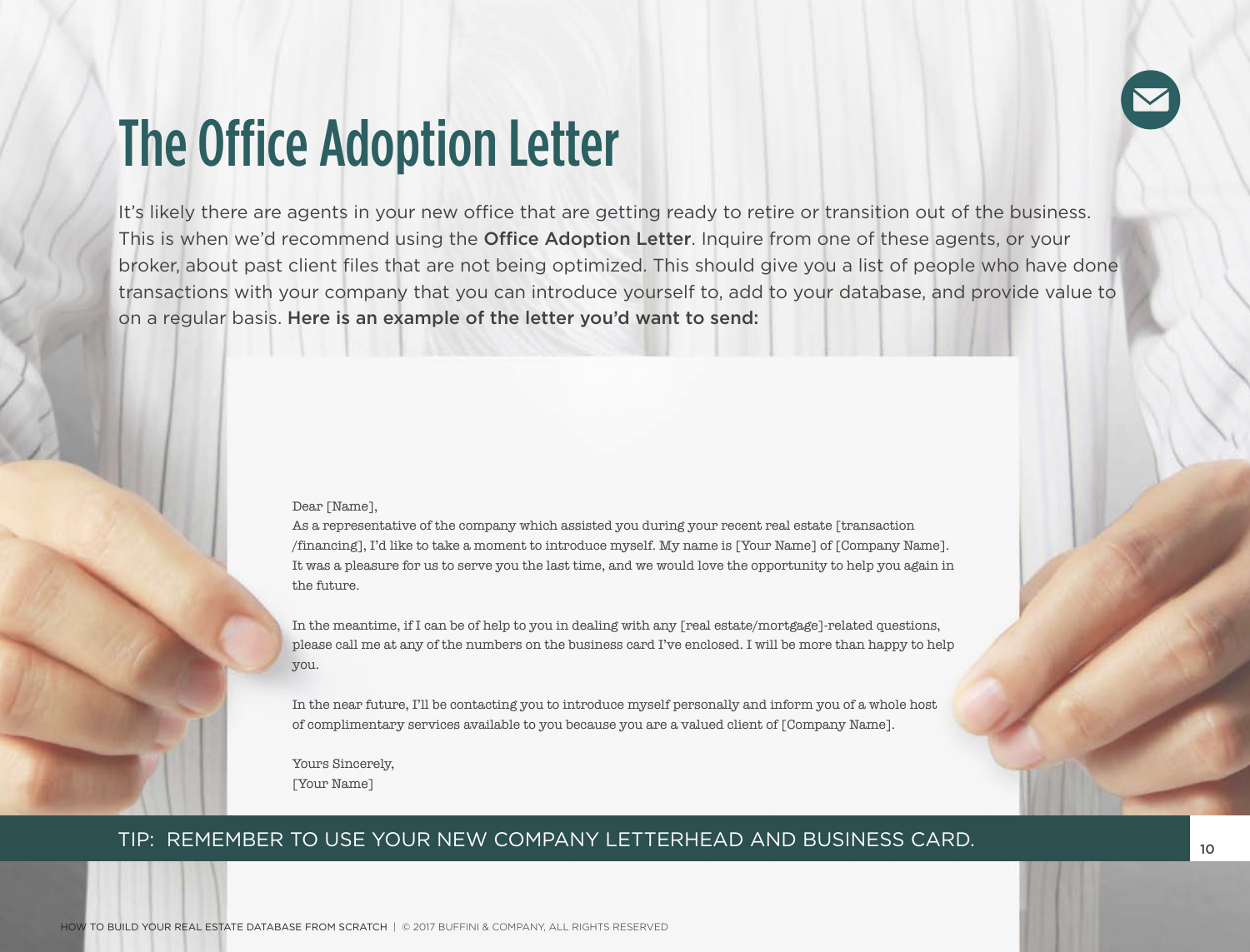

## The Office Adoption Letter

It's likely there are agents in your new office that are getting ready to retire or transition out of the business. This is when we'd recommend using the **Office Adoption Letter**. Inquire from one of these agents, or your broker, about past client files that are not being optimized. This should give you a list of people who have done transactions with your company that you can introduce yourself to, add to your database, and provide value to on a regular basis. Here is an example of the letter you'd want to send:

#### Dear [Name],

As a representative of the company which assisted you during your recent real estate [transaction /financing], I'd like to take a moment to introduce myself. My name is [Your Name] of [Company Name]. It was a pleasure for us to serve you the last time, and we would love the opportunity to help you again in the future.

In the meantime, if I can be of help to you in dealing with any [real estate/mortgage]-related questions, please call me at any of the numbers on the business card I've enclosed. I will be more than happy to help you.

In the near future, I'll be contacting you to introduce myself personally and inform you of a whole host of complimentary services available to you because you are a valued client of [Company Name].

Yours Sincerely, [Your Name]

#### TIP: REMEMBER TO USE YOUR NEW COMPANY LETTERHEAD AND BUSINESS CARD.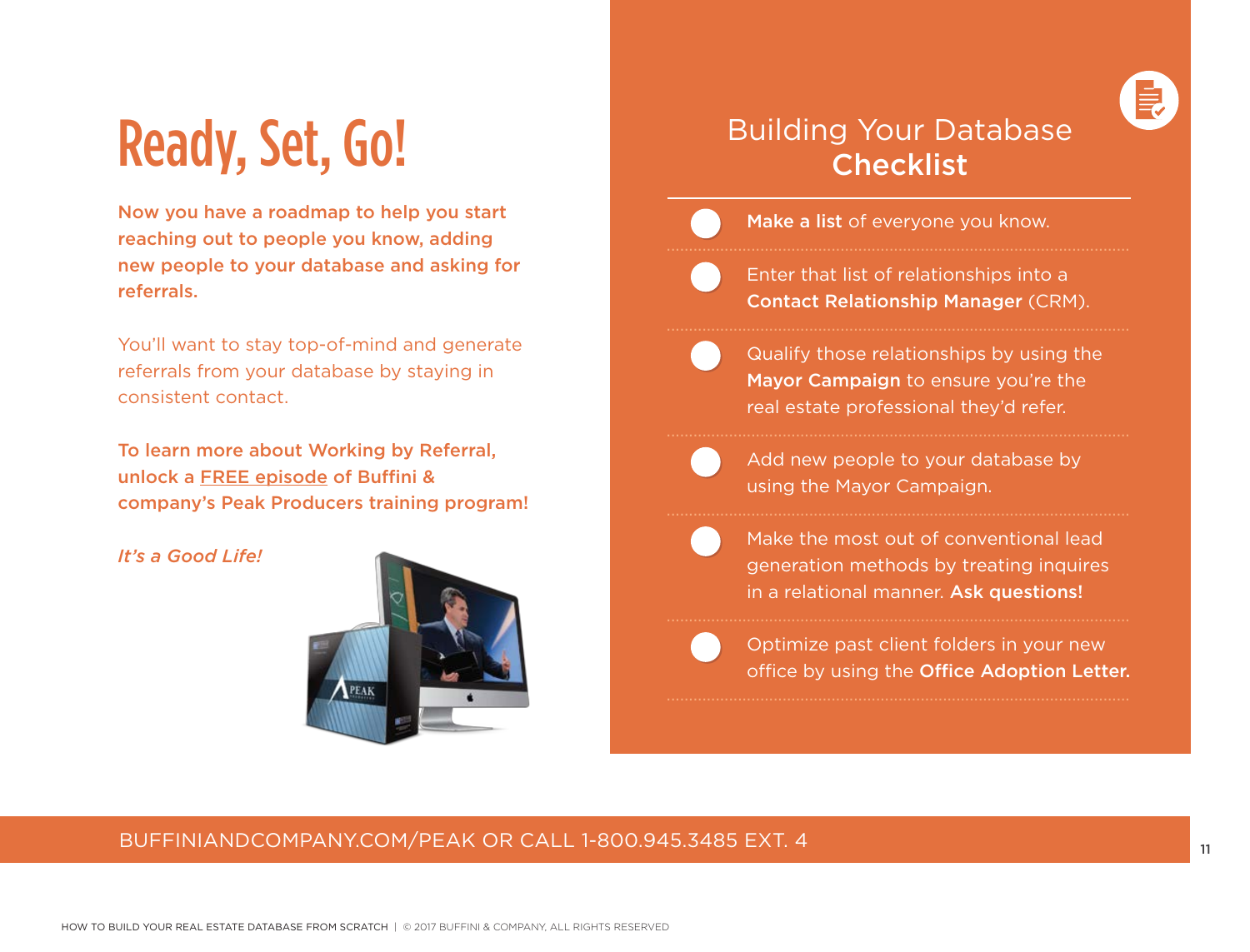

## Ready, Set, Go!

Now you have a roadmap to help you start reaching out to people you know, adding new people to your database and asking for referrals.

You'll want to stay top-of-mind and generate referrals from your database by staying in consistent contact.

To learn more about Working by Referral, unlock a FREE episode of Buffini & company's Peak Producers training program!

#### *It's a Good Life!*



## Building Your Database **Checklist**

- Make a list of everyone you know.
- Enter that list of relationships into a Contact Relationship Manager (CRM).

........................................................................................................

- Qualify those relationships by using the Mayor Campaign to ensure you're the real estate professional they'd refer.
- 

 Add new people to your database by using the Mayor Campaign.

- Make the most out of conventional lead generation methods by treating inquires in a relational manner. Ask questions!
- 

 Optimize past client folders in your new office by using the Office Adoption Letter.

### BUFFINIANDCOMPANY.COM/PEAK OR CALL 1-800.945.3485 EXT. 4 11 11 12 12 13 14 15 17 17 17 17 17 17 17 17 17 17 17